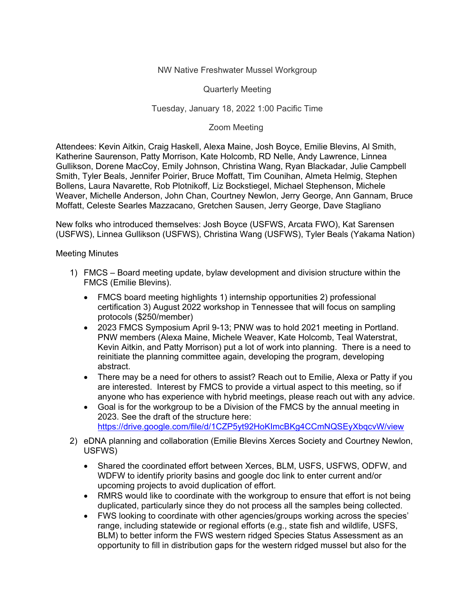## NW Native Freshwater Mussel Workgroup

Quarterly Meeting

## Tuesday, January 18, 2022 1:00 Pacific Time

## Zoom Meeting

Attendees: Kevin Aitkin, Craig Haskell, Alexa Maine, Josh Boyce, Emilie Blevins, Al Smith, Katherine Saurenson, Patty Morrison, Kate Holcomb, RD Nelle, Andy Lawrence, Linnea Gullikson, Dorene MacCoy, Emily Johnson, Christina Wang, Ryan Blackadar, Julie Campbell Smith, Tyler Beals, Jennifer Poirier, Bruce Moffatt, Tim Counihan, Almeta Helmig, Stephen Bollens, Laura Navarette, Rob Plotnikoff, Liz Bockstiegel, Michael Stephenson, Michele Weaver, Michelle Anderson, John Chan, Courtney Newlon, Jerry George, Ann Gannam, Bruce Moffatt, Celeste Searles Mazzacano, Gretchen Sausen, Jerry George, Dave Stagliano

New folks who introduced themselves: Josh Boyce (USFWS, Arcata FWO), Kat Sarensen (USFWS), Linnea Gullikson (USFWS), Christina Wang (USFWS), Tyler Beals (Yakama Nation)

## Meeting Minutes

- 1) FMCS Board meeting update, bylaw development and division structure within the FMCS (Emilie Blevins).
	- FMCS board meeting highlights 1) internship opportunities 2) professional certification 3) August 2022 workshop in Tennessee that will focus on sampling protocols (\$250/member)
	- 2023 FMCS Symposium April 9-13; PNW was to hold 2021 meeting in Portland. PNW members (Alexa Maine, Michele Weaver, Kate Holcomb, Teal Waterstrat, Kevin Aitkin, and Patty Morrison) put a lot of work into planning. There is a need to reinitiate the planning committee again, developing the program, developing abstract.
	- There may be a need for others to assist? Reach out to Emilie, Alexa or Patty if you are interested. Interest by FMCS to provide a virtual aspect to this meeting, so if anyone who has experience with hybrid meetings, please reach out with any advice.
	- Goal is for the workgroup to be a Division of the FMCS by the annual meeting in 2023. See the draft of the structure here: <https://drive.google.com/file/d/1CZP5yt92HoKImcBKg4CCmNQSEyXbqcvW/view>
- 2) eDNA planning and collaboration (Emilie Blevins Xerces Society and Courtney Newlon, USFWS)
	- Shared the coordinated effort between Xerces, BLM, USFS, USFWS, ODFW, and WDFW to identify priority basins and google doc link to enter current and/or upcoming projects to avoid duplication of effort.
	- RMRS would like to coordinate with the workgroup to ensure that effort is not being duplicated, particularly since they do not process all the samples being collected.
	- FWS looking to coordinate with other agencies/groups working across the species' range, including statewide or regional efforts (e.g., state fish and wildlife, USFS, BLM) to better inform the FWS western ridged Species Status Assessment as an opportunity to fill in distribution gaps for the western ridged mussel but also for the